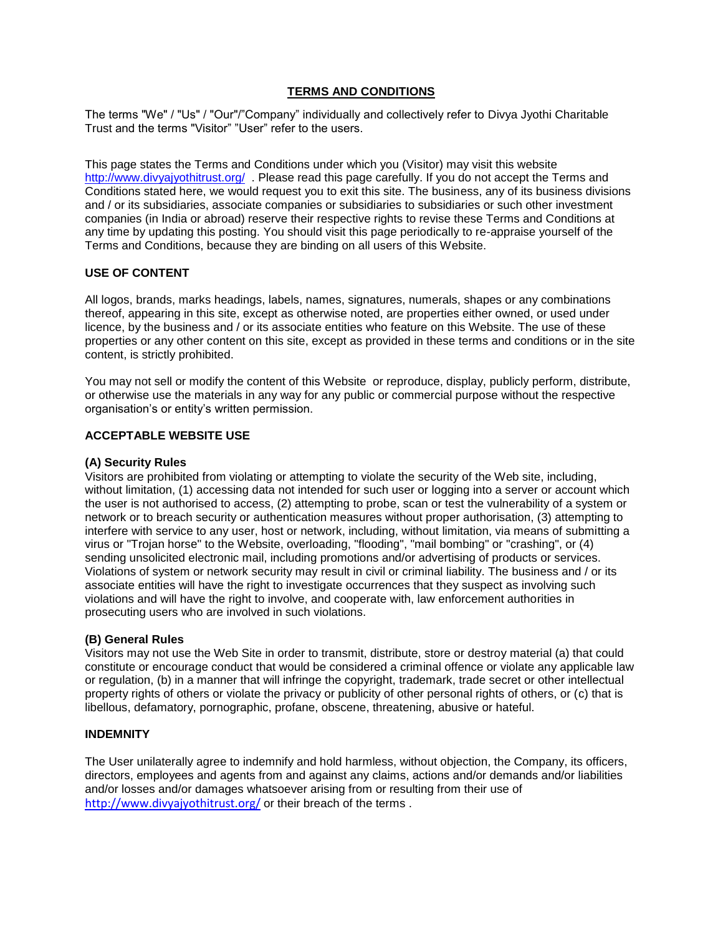## **TERMS AND CONDITIONS**

The terms "We" / "Us" / "Our"/"Company" individually and collectively refer to Divya Jyothi Charitable Trust and the terms "Visitor" "User" refer to the users.

This page states the Terms and Conditions under which you (Visitor) may visit this website <http://www.divyajyothitrust.org/>. Please read this page carefully. If you do not accept the Terms and Conditions stated here, we would request you to exit this site. The business, any of its business divisions and / or its subsidiaries, associate companies or subsidiaries to subsidiaries or such other investment companies (in India or abroad) reserve their respective rights to revise these Terms and Conditions at any time by updating this posting. You should visit this page periodically to re-appraise yourself of the Terms and Conditions, because they are binding on all users of this Website.

## **USE OF CONTENT**

All logos, brands, marks headings, labels, names, signatures, numerals, shapes or any combinations thereof, appearing in this site, except as otherwise noted, are properties either owned, or used under licence, by the business and / or its associate entities who feature on this Website. The use of these properties or any other content on this site, except as provided in these terms and conditions or in the site content, is strictly prohibited.

You may not sell or modify the content of this Website or reproduce, display, publicly perform, distribute, or otherwise use the materials in any way for any public or commercial purpose without the respective organisation's or entity's written permission.

## **ACCEPTABLE WEBSITE USE**

### **(A) Security Rules**

Visitors are prohibited from violating or attempting to violate the security of the Web site, including, without limitation, (1) accessing data not intended for such user or logging into a server or account which the user is not authorised to access, (2) attempting to probe, scan or test the vulnerability of a system or network or to breach security or authentication measures without proper authorisation, (3) attempting to interfere with service to any user, host or network, including, without limitation, via means of submitting a virus or "Trojan horse" to the Website, overloading, "flooding", "mail bombing" or "crashing", or (4) sending unsolicited electronic mail, including promotions and/or advertising of products or services. Violations of system or network security may result in civil or criminal liability. The business and / or its associate entities will have the right to investigate occurrences that they suspect as involving such violations and will have the right to involve, and cooperate with, law enforcement authorities in prosecuting users who are involved in such violations.

## **(B) General Rules**

Visitors may not use the Web Site in order to transmit, distribute, store or destroy material (a) that could constitute or encourage conduct that would be considered a criminal offence or violate any applicable law or regulation, (b) in a manner that will infringe the copyright, trademark, trade secret or other intellectual property rights of others or violate the privacy or publicity of other personal rights of others, or (c) that is libellous, defamatory, pornographic, profane, obscene, threatening, abusive or hateful.

### **INDEMNITY**

The User unilaterally agree to indemnify and hold harmless, without objection, the Company, its officers, directors, employees and agents from and against any claims, actions and/or demands and/or liabilities and/or losses and/or damages whatsoever arising from or resulting from their use of <http://www.divyajyothitrust.org/> or their breach of the terms.